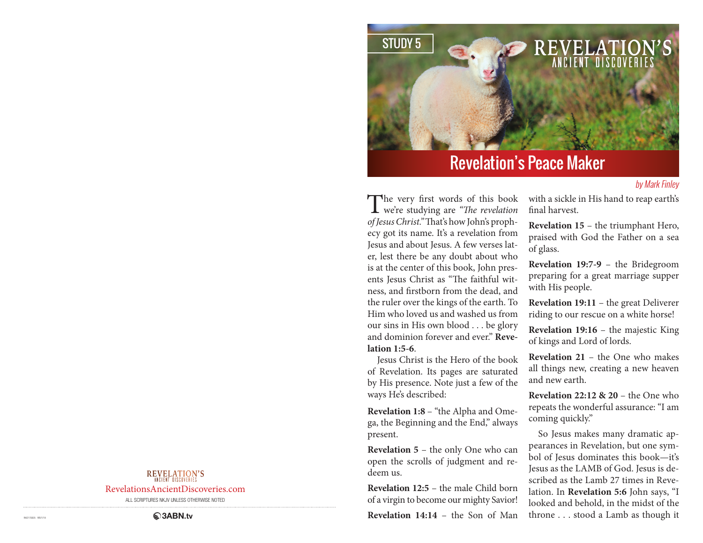

# Revelation's Peace Maker

### by Mark Finley

The very first words of this book<br>we're studying are "*The revelation of Jesus Christ."* That's how John's prophecy got its name. It's a revelation from Jesus and about Jesus. A few verses later, lest there be any doubt about who is at the center of this book, John presents Jesus Christ as "The faithful witness, and firstborn from the dead, and the ruler over the kings of the earth. To Him who loved us and washed us from our sins in His own blood . . . be glory and dominion forever and ever." **Revelation 1:5-6**.

Jesus Christ is the Hero of the book of Revelation. Its pages are saturated by His presence. Note just a few of the ways He's described:

**Revelation 1:8** – "the Alpha and Omega, the Beginning and the End," always present.

**Revelation 5** – the only One who can open the scrolls of judgment and redeem us.

**Revelation 12:5** – the male Child born of a virgin to become our mighty Savior!

**Revelation 14:14** – the Son of Man

with a sickle in His hand to reap earth's final harvest.

**Revelation 15** – the triumphant Hero, praised with God the Father on a sea of glass.

**Revelation 19:7-9** – the Bridegroom preparing for a great marriage supper with His people.

**Revelation 19:11** – the great Deliverer riding to our rescue on a white horse!

**Revelation 19:16** – the majestic King of kings and Lord of lords.

**Revelation 21** – the One who makes all things new, creating a new heaven and new earth.

**Revelation 22:12 & 20** – the One who repeats the wonderful assurance: "I am coming quickly."

So Jesus makes many dramatic appearances in Revelation, but one symbol of Jesus dominates this book—it's Jesus as the LAMB of God. Jesus is described as the Lamb 27 times in Revelation. In **Revelation 5:6** John says, "I looked and behold, in the midst of the throne . . . stood a Lamb as though it

### REVELATION'S

RevelationsAncientDiscoveries.com

ALL SCRIPTURES NKJV UNLESS OTHERWISE NOTED

RAD170005 REV1/18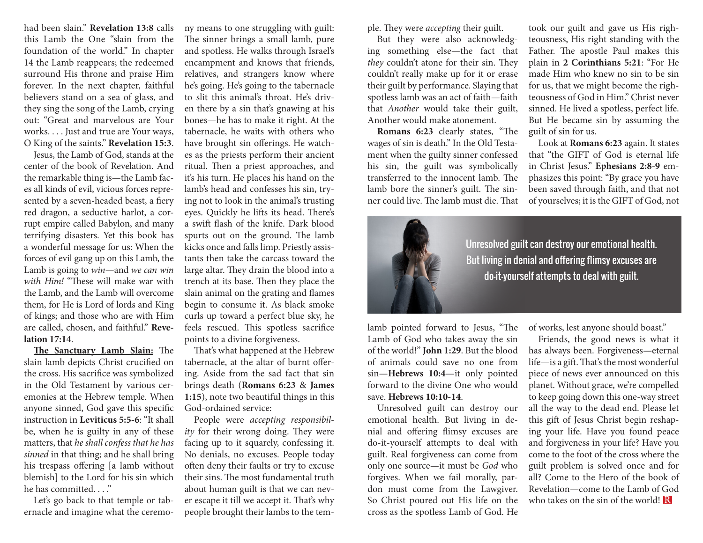had been slain." **Revelation 13:8** calls this Lamb the One "slain from the foundation of the world." In chapter 14 the Lamb reappears; the redeemed surround His throne and praise Him forever. In the next chapter, faithful believers stand on a sea of glass, and they sing the song of the Lamb, crying out: "Great and marvelous are Your works. . . . Just and true are Your ways, O King of the saints." **Revelation 15:3**.

Jesus, the Lamb of God, stands at the center of the book of Revelation. And the remarkable thing is—the Lamb faces all kinds of evil, vicious forces represented by a seven-headed beast, a fiery red dragon, a seductive harlot, a corrupt empire called Babylon, and many terrifying disasters. Yet this book has a wonderful message for us: When the forces of evil gang up on this Lamb, the Lamb is going to *win*—and *we can win with Him!* "These will make war with the Lamb, and the Lamb will overcome them, for He is Lord of lords and King of kings; and those who are with Him are called, chosen, and faithful." **Revelation 17:14**.

**The Sanctuary Lamb Slain:** The slain lamb depicts Christ crucified on the cross. His sacrifice was symbolized in the Old Testament by various ceremonies at the Hebrew temple. When anyone sinned, God gave this specific instruction in **Leviticus 5:5-6**: "It shall be, when he is guilty in any of these matters, that *he shall confess that he has sinned* in that thing; and he shall bring his trespass offering [a lamb without blemish] to the Lord for his sin which he has committed. . . ."

Let's go back to that temple or tabernacle and imagine what the ceremony means to one struggling with guilt: The sinner brings a small lamb, pure and spotless. He walks through Israel's encampment and knows that friends, relatives, and strangers know where he's going. He's going to the tabernacle to slit this animal's throat. He's driven there by a sin that's gnawing at his bones—he has to make it right. At the tabernacle, he waits with others who have brought sin offerings. He watches as the priests perform their ancient ritual. Then a priest approaches, and it's his turn. He places his hand on the lamb's head and confesses his sin, trying not to look in the animal's trusting eyes. Quickly he lifts its head. There's a swift flash of the knife. Dark blood spurts out on the ground. The lamb kicks once and falls limp. Priestly assistants then take the carcass toward the large altar. They drain the blood into a trench at its base. Then they place the slain animal on the grating and flames begin to consume it. As black smoke curls up toward a perfect blue sky, he feels rescued. This spotless sacrifice points to a divine forgiveness.

That's what happened at the Hebrew tabernacle, at the altar of burnt offering. Aside from the sad fact that sin brings death (**Romans 6:23** & **James 1:15**), note two beautiful things in this God-ordained service:

People were *accepting responsibility* for their wrong doing. They were facing up to it squarely, confessing it. No denials, no excuses. People today often deny their faults or try to excuse their sins. The most fundamental truth about human guilt is that we can never escape it till we accept it. That's why people brought their lambs to the temple. They were *accepting* their guilt.

But they were also acknowledging something else—the fact that *they* couldn't atone for their sin. They couldn't really make up for it or erase their guilt by performance. Slaying that spotless lamb was an act of faith—faith that *Another* would take their guilt, Another would make atonement.

**Romans 6:23** clearly states, "The wages of sin is death." In the Old Testament when the guilty sinner confessed his sin, the guilt was symbolically transferred to the innocent lamb. The lamb bore the sinner's guilt. The sinner could live. The lamb must die. That

took our guilt and gave us His righteousness, His right standing with the Father. The apostle Paul makes this plain in **2 Corinthians 5:21**: "For He made Him who knew no sin to be sin for us, that we might become the righteousness of God in Him." Christ never sinned. He lived a spotless, perfect life. But He became sin by assuming the guilt of sin for us.

Look at **Romans 6:23** again. It states that "the GIFT of God is eternal life in Christ Jesus." **Ephesians 2:8-9** emphasizes this point: "By grace you have been saved through faith, and that not of yourselves; it is the GIFT of God, not



Unresolved guilt can destroy our emotional health. But living in denial and offering flimsy excuses are do-it-yourself attempts to deal with guilt.

lamb pointed forward to Jesus, "The Lamb of God who takes away the sin of the world!" **John 1:29**. But the blood of animals could save no one from sin—**Hebrews 10:4**—it only pointed forward to the divine One who would save. **Hebrews 10:10-14**.

Unresolved guilt can destroy our emotional health. But living in denial and offering flimsy excuses are do-it-yourself attempts to deal with guilt. Real forgiveness can come from only one source—it must be *God* who forgives. When we fail morally, pardon must come from the Lawgiver. So Christ poured out His life on the cross as the spotless Lamb of God. He

of works, lest anyone should boast."

Friends, the good news is what it has always been. Forgiveness—eternal life—is a gift. That's the most wonderful piece of news ever announced on this planet. Without grace, we're compelled to keep going down this one-way street all the way to the dead end. Please let this gift of Jesus Christ begin reshaping your life. Have you found peace and forgiveness in your life? Have you come to the foot of the cross where the guilt problem is solved once and for all? Come to the Hero of the book of Revelation—come to the Lamb of God who takes on the sin of the world!  $\mathbb{R}$